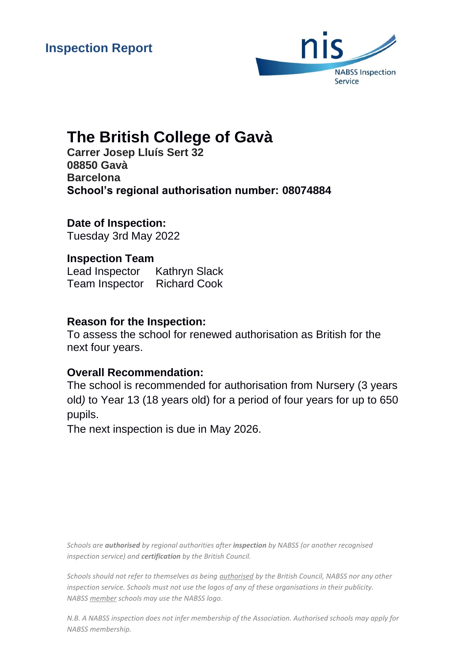

# **The British College of Gavà**

**Carrer Josep Lluís Sert 32 08850 Gavà Barcelona School's regional authorisation number: 08074884**

**Date of Inspection:** Tuesday 3rd May 2022

**Inspection Team** Lead Inspector Kathryn Slack Team Inspector Richard Cook

# **Reason for the Inspection:**

To assess the school for renewed authorisation as British for the next four years.

# **Overall Recommendation:**

The school is recommended for authorisation from Nursery (3 years old*)* to Year 13 (18 years old) for a period of four years for up to 650 pupils.

The next inspection is due in May 2026.

*Schools are authorised by regional authorities after inspection by NABSS (or another recognised inspection service) and certification by the British Council.*

*Schools should not refer to themselves as being authorised by the British Council, NABSS nor any other inspection service. Schools must not use the logos of any of these organisations in their publicity. NABSS member schools may use the NABSS logo.*

*N.B. A NABSS inspection does not infer membership of the Association. Authorised schools may apply for NABSS membership.*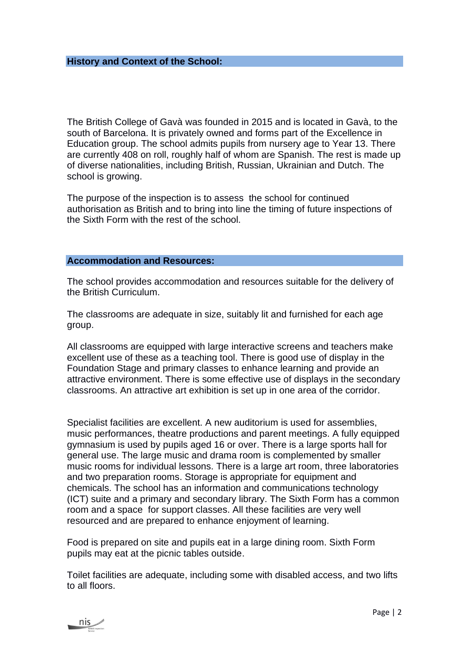The British College of Gavà was founded in 2015 and is located in Gavà, to the south of Barcelona. It is privately owned and forms part of the Excellence in Education group. The school admits pupils from nursery age to Year 13. There are currently 408 on roll, roughly half of whom are Spanish. The rest is made up of diverse nationalities, including British, Russian, Ukrainian and Dutch. The school is growing.

The purpose of the inspection is to assess the school for continued authorisation as British and to bring into line the timing of future inspections of the Sixth Form with the rest of the school.

#### **Accommodation and Resources:**

The school provides accommodation and resources suitable for the delivery of the British Curriculum.

The classrooms are adequate in size, suitably lit and furnished for each age group.

All classrooms are equipped with large interactive screens and teachers make excellent use of these as a teaching tool. There is good use of display in the Foundation Stage and primary classes to enhance learning and provide an attractive environment. There is some effective use of displays in the secondary classrooms. An attractive art exhibition is set up in one area of the corridor.

Specialist facilities are excellent. A new auditorium is used for assemblies, music performances, theatre productions and parent meetings. A fully equipped gymnasium is used by pupils aged 16 or over. There is a large sports hall for general use. The large music and drama room is complemented by smaller music rooms for individual lessons. There is a large art room, three laboratories and two preparation rooms. Storage is appropriate for equipment and chemicals. The school has an information and communications technology (ICT) suite and a primary and secondary library. The Sixth Form has a common room and a space for support classes. All these facilities are very well resourced and are prepared to enhance enjoyment of learning.

Food is prepared on site and pupils eat in a large dining room. Sixth Form pupils may eat at the picnic tables outside.

Toilet facilities are adequate, including some with disabled access, and two lifts to all floors.

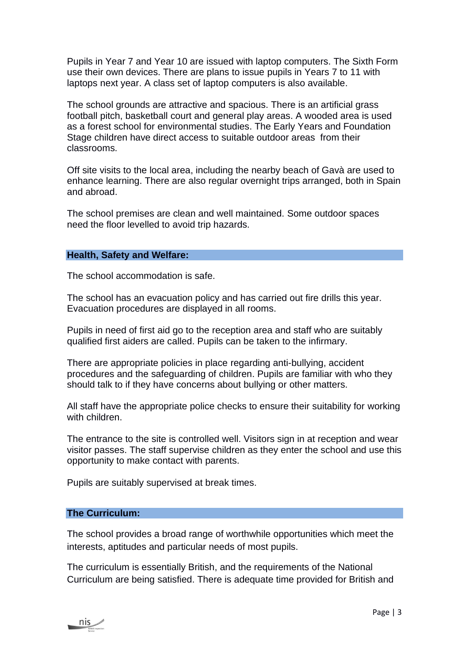Pupils in Year 7 and Year 10 are issued with laptop computers. The Sixth Form use their own devices. There are plans to issue pupils in Years 7 to 11 with laptops next year. A class set of laptop computers is also available.

The school grounds are attractive and spacious. There is an artificial grass football pitch, basketball court and general play areas. A wooded area is used as a forest school for environmental studies. The Early Years and Foundation Stage children have direct access to suitable outdoor areas from their classrooms.

Off site visits to the local area, including the nearby beach of Gavà are used to enhance learning. There are also regular overnight trips arranged, both in Spain and abroad.

The school premises are clean and well maintained. Some outdoor spaces need the floor levelled to avoid trip hazards.

#### **Health, Safety and Welfare:**

The school accommodation is safe.

The school has an evacuation policy and has carried out fire drills this year. Evacuation procedures are displayed in all rooms.

Pupils in need of first aid go to the reception area and staff who are suitably qualified first aiders are called. Pupils can be taken to the infirmary.

There are appropriate policies in place regarding anti-bullying, accident procedures and the safeguarding of children. Pupils are familiar with who they should talk to if they have concerns about bullying or other matters.

All staff have the appropriate police checks to ensure their suitability for working with children.

The entrance to the site is controlled well. Visitors sign in at reception and wear visitor passes. The staff supervise children as they enter the school and use this opportunity to make contact with parents.

Pupils are suitably supervised at break times.

### **The Curriculum:**

The school provides a broad range of worthwhile opportunities which meet the interests, aptitudes and particular needs of most pupils.

The curriculum is essentially British, and the requirements of the National Curriculum are being satisfied. There is adequate time provided for British and

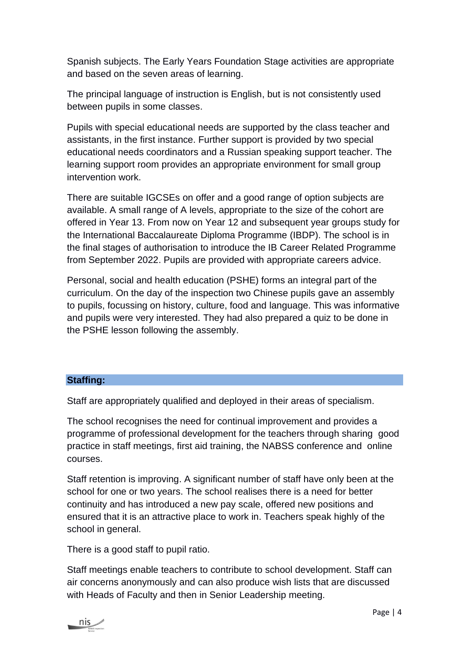Spanish subjects. The Early Years Foundation Stage activities are appropriate and based on the seven areas of learning.

The principal language of instruction is English, but is not consistently used between pupils in some classes.

Pupils with special educational needs are supported by the class teacher and assistants, in the first instance. Further support is provided by two special educational needs coordinators and a Russian speaking support teacher. The learning support room provides an appropriate environment for small group intervention work.

There are suitable IGCSEs on offer and a good range of option subjects are available. A small range of A levels, appropriate to the size of the cohort are offered in Year 13. From now on Year 12 and subsequent year groups study for the International Baccalaureate Diploma Programme (IBDP). The school is in the final stages of authorisation to introduce the IB Career Related Programme from September 2022. Pupils are provided with appropriate careers advice.

Personal, social and health education (PSHE) forms an integral part of the curriculum. On the day of the inspection two Chinese pupils gave an assembly to pupils, focussing on history, culture, food and language. This was informative and pupils were very interested. They had also prepared a quiz to be done in the PSHE lesson following the assembly.

## **Staffing:**

Staff are appropriately qualified and deployed in their areas of specialism.

The school recognises the need for continual improvement and provides a programme of professional development for the teachers through sharing good practice in staff meetings, first aid training, the NABSS conference and online courses.

Staff retention is improving. A significant number of staff have only been at the school for one or two years. The school realises there is a need for better continuity and has introduced a new pay scale, offered new positions and ensured that it is an attractive place to work in. Teachers speak highly of the school in general.

There is a good staff to pupil ratio.

Staff meetings enable teachers to contribute to school development. Staff can air concerns anonymously and can also produce wish lists that are discussed with Heads of Faculty and then in Senior Leadership meeting.

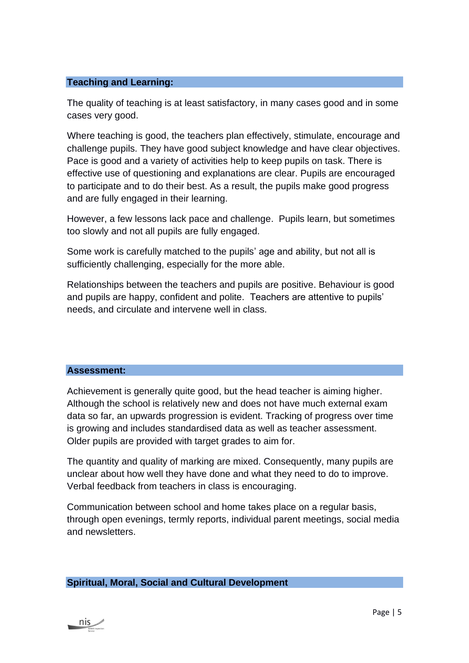#### **Teaching and Learning:**

The quality of teaching is at least satisfactory, in many cases good and in some cases very good.

Where teaching is good, the teachers plan effectively, stimulate, encourage and challenge pupils. They have good subject knowledge and have clear objectives. Pace is good and a variety of activities help to keep pupils on task. There is effective use of questioning and explanations are clear. Pupils are encouraged to participate and to do their best. As a result, the pupils make good progress and are fully engaged in their learning.

However, a few lessons lack pace and challenge. Pupils learn, but sometimes too slowly and not all pupils are fully engaged.

Some work is carefully matched to the pupils' age and ability, but not all is sufficiently challenging, especially for the more able.

Relationships between the teachers and pupils are positive. Behaviour is good and pupils are happy, confident and polite. Teachers are attentive to pupils' needs, and circulate and intervene well in class.

#### **Assessment:**

Achievement is generally quite good, but the head teacher is aiming higher. Although the school is relatively new and does not have much external exam data so far, an upwards progression is evident. Tracking of progress over time is growing and includes standardised data as well as teacher assessment. Older pupils are provided with target grades to aim for.

The quantity and quality of marking are mixed. Consequently, many pupils are unclear about how well they have done and what they need to do to improve. Verbal feedback from teachers in class is encouraging.

Communication between school and home takes place on a regular basis, through open evenings, termly reports, individual parent meetings, social media and newsletters.

#### **Spiritual, Moral, Social and Cultural Development**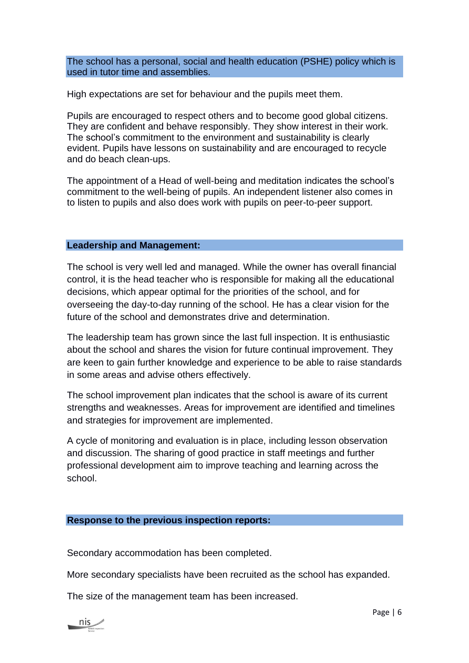The school has a personal, social and health education (PSHE) policy which is used in tutor time and assemblies.

High expectations are set for behaviour and the pupils meet them.

Pupils are encouraged to respect others and to become good global citizens. They are confident and behave responsibly. They show interest in their work. The school's commitment to the environment and sustainability is clearly evident. Pupils have lessons on sustainability and are encouraged to recycle and do beach clean-ups.

The appointment of a Head of well-being and meditation indicates the school's commitment to the well-being of pupils. An independent listener also comes in to listen to pupils and also does work with pupils on peer-to-peer support.

#### **Leadership and Management:**

The school is very well led and managed. While the owner has overall financial control, it is the head teacher who is responsible for making all the educational decisions, which appear optimal for the priorities of the school, and for overseeing the day-to-day running of the school. He has a clear vision for the future of the school and demonstrates drive and determination.

The leadership team has grown since the last full inspection. It is enthusiastic about the school and shares the vision for future continual improvement. They are keen to gain further knowledge and experience to be able to raise standards in some areas and advise others effectively.

The school improvement plan indicates that the school is aware of its current strengths and weaknesses. Areas for improvement are identified and timelines and strategies for improvement are implemented.

A cycle of monitoring and evaluation is in place, including lesson observation and discussion. The sharing of good practice in staff meetings and further professional development aim to improve teaching and learning across the school.

#### **Response to the previous inspection reports:**

Secondary accommodation has been completed.

More secondary specialists have been recruited as the school has expanded.

The size of the management team has been increased.